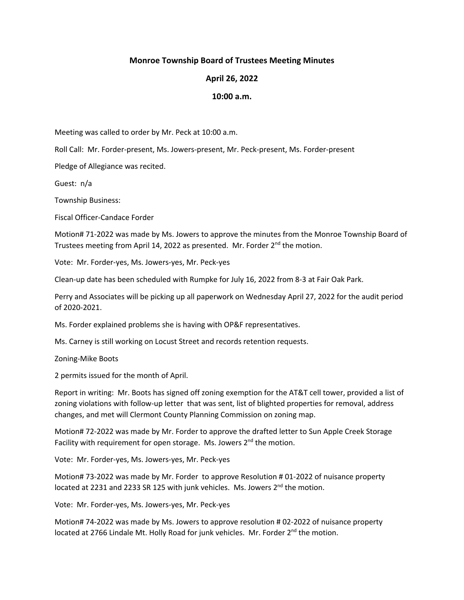## **Monroe Township Board of Trustees Meeting Minutes**

## **April 26, 2022**

## **10:00 a.m.**

Meeting was called to order by Mr. Peck at 10:00 a.m.

Roll Call: Mr. Forder-present, Ms. Jowers-present, Mr. Peck-present, Ms. Forder-present

Pledge of Allegiance was recited.

Guest: n/a

Township Business:

Fiscal Officer-Candace Forder

Motion# 71-2022 was made by Ms. Jowers to approve the minutes from the Monroe Township Board of Trustees meeting from April 14, 2022 as presented. Mr. Forder  $2^{nd}$  the motion.

Vote: Mr. Forder-yes, Ms. Jowers-yes, Mr. Peck-yes

Clean-up date has been scheduled with Rumpke for July 16, 2022 from 8-3 at Fair Oak Park.

Perry and Associates will be picking up all paperwork on Wednesday April 27, 2022 for the audit period of 2020-2021.

Ms. Forder explained problems she is having with OP&F representatives.

Ms. Carney is still working on Locust Street and records retention requests.

Zoning-Mike Boots

2 permits issued for the month of April.

Report in writing: Mr. Boots has signed off zoning exemption for the AT&T cell tower, provided a list of zoning violations with follow-up letter that was sent, list of blighted properties for removal, address changes, and met will Clermont County Planning Commission on zoning map.

Motion# 72-2022 was made by Mr. Forder to approve the drafted letter to Sun Apple Creek Storage Facility with requirement for open storage. Ms. Jowers  $2^{nd}$  the motion.

Vote: Mr. Forder-yes, Ms. Jowers-yes, Mr. Peck-yes

Motion# 73-2022 was made by Mr. Forder to approve Resolution # 01-2022 of nuisance property located at 2231 and 2233 SR 125 with junk vehicles. Ms. Jowers 2<sup>nd</sup> the motion.

Vote: Mr. Forder-yes, Ms. Jowers-yes, Mr. Peck-yes

Motion# 74-2022 was made by Ms. Jowers to approve resolution # 02-2022 of nuisance property located at 2766 Lindale Mt. Holly Road for junk vehicles. Mr. Forder  $2^{nd}$  the motion.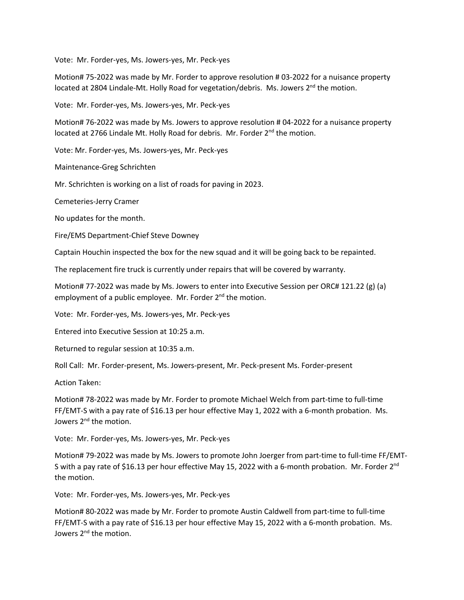Vote: Mr. Forder-yes, Ms. Jowers-yes, Mr. Peck-yes

Motion# 75-2022 was made by Mr. Forder to approve resolution # 03-2022 for a nuisance property located at 2804 Lindale-Mt. Holly Road for vegetation/debris. Ms. Jowers 2<sup>nd</sup> the motion.

Vote: Mr. Forder-yes, Ms. Jowers-yes, Mr. Peck-yes

Motion# 76-2022 was made by Ms. Jowers to approve resolution # 04-2022 for a nuisance property located at 2766 Lindale Mt. Holly Road for debris. Mr. Forder 2<sup>nd</sup> the motion.

Vote: Mr. Forder-yes, Ms. Jowers-yes, Mr. Peck-yes

Maintenance-Greg Schrichten

Mr. Schrichten is working on a list of roads for paving in 2023.

Cemeteries-Jerry Cramer

No updates for the month.

Fire/EMS Department-Chief Steve Downey

Captain Houchin inspected the box for the new squad and it will be going back to be repainted.

The replacement fire truck is currently under repairs that will be covered by warranty.

Motion# 77-2022 was made by Ms. Jowers to enter into Executive Session per ORC# 121.22 (g) (a) employment of a public employee. Mr. Forder  $2^{nd}$  the motion.

Vote: Mr. Forder-yes, Ms. Jowers-yes, Mr. Peck-yes

Entered into Executive Session at 10:25 a.m.

Returned to regular session at 10:35 a.m.

Roll Call: Mr. Forder-present, Ms. Jowers-present, Mr. Peck-present Ms. Forder-present

Action Taken:

Motion# 78-2022 was made by Mr. Forder to promote Michael Welch from part-time to full-time FF/EMT-S with a pay rate of \$16.13 per hour effective May 1, 2022 with a 6-month probation. Ms. Jowers 2<sup>nd</sup> the motion.

Vote: Mr. Forder-yes, Ms. Jowers-yes, Mr. Peck-yes

Motion# 79-2022 was made by Ms. Jowers to promote John Joerger from part-time to full-time FF/EMT-S with a pay rate of \$16.13 per hour effective May 15, 2022 with a 6-month probation. Mr. Forder 2<sup>nd</sup> the motion.

Vote: Mr. Forder-yes, Ms. Jowers-yes, Mr. Peck-yes

Motion# 80-2022 was made by Mr. Forder to promote Austin Caldwell from part-time to full-time FF/EMT-S with a pay rate of \$16.13 per hour effective May 15, 2022 with a 6-month probation. Ms. Jowers 2<sup>nd</sup> the motion.